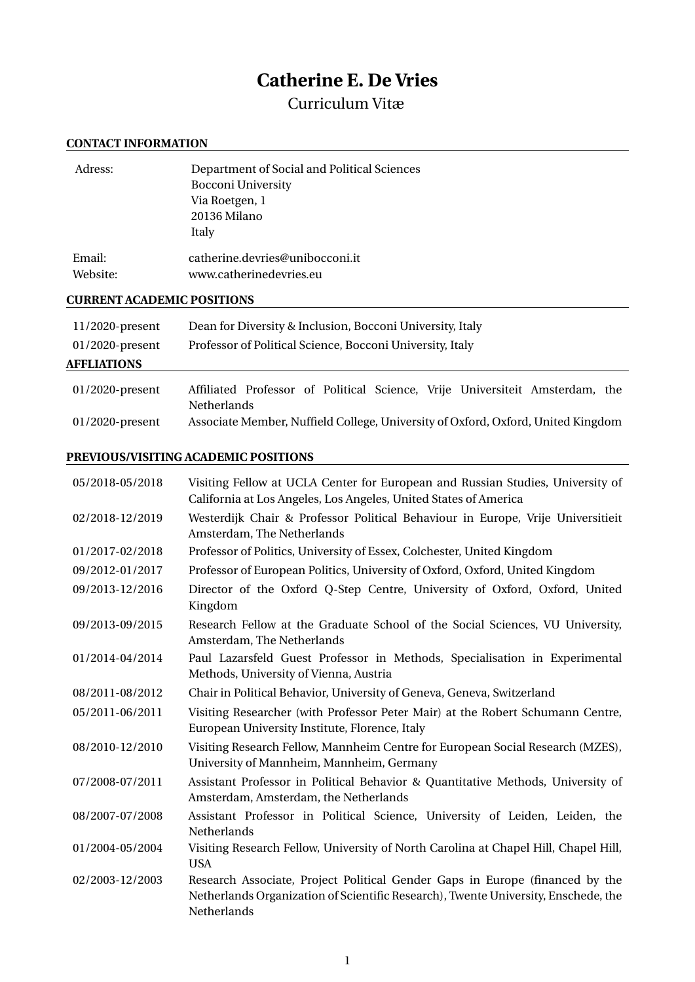# **Catherine E. De Vries**

# Curriculum Vitæ

# **CONTACT INFORMATION**

| Adress:            | Department of Social and Political Sciences<br><b>Bocconi University</b> |
|--------------------|--------------------------------------------------------------------------|
|                    | Via Roetgen, 1<br>20136 Milano<br>Italy                                  |
| Email:<br>Website: | catherine.devries@unibocconi.it<br>www.catherinedevries.eu               |

# **CURRENT ACADEMIC POSITIONS**

| $11/2020$ -present | Dean for Diversity & Inclusion, Bocconi University, Italy                                          |  |  |  |  |  |  |  |
|--------------------|----------------------------------------------------------------------------------------------------|--|--|--|--|--|--|--|
| $01/2020$ -present | Professor of Political Science, Bocconi University, Italy                                          |  |  |  |  |  |  |  |
| <b>AFFLIATIONS</b> |                                                                                                    |  |  |  |  |  |  |  |
| $01/2020$ -present | Affiliated Professor of Political Science, Vrije Universiteit Amsterdam, the<br><b>Netherlands</b> |  |  |  |  |  |  |  |

| 01/2020-present | Associate Member, Nuffield College, University of Oxford, Oxford, United Kingdom |  |
|-----------------|----------------------------------------------------------------------------------|--|
|-----------------|----------------------------------------------------------------------------------|--|

# **PREVIOUS/VISITING ACADEMIC POSITIONS**

| 05/2018-05/2018 | Visiting Fellow at UCLA Center for European and Russian Studies, University of<br>California at Los Angeles, Los Angeles, United States of America                                |
|-----------------|-----------------------------------------------------------------------------------------------------------------------------------------------------------------------------------|
| 02/2018-12/2019 | Westerdijk Chair & Professor Political Behaviour in Europe, Vrije Universitieit<br>Amsterdam, The Netherlands                                                                     |
| 01/2017-02/2018 | Professor of Politics, University of Essex, Colchester, United Kingdom                                                                                                            |
| 09/2012-01/2017 | Professor of European Politics, University of Oxford, Oxford, United Kingdom                                                                                                      |
| 09/2013-12/2016 | Director of the Oxford Q-Step Centre, University of Oxford, Oxford, United<br>Kingdom                                                                                             |
| 09/2013-09/2015 | Research Fellow at the Graduate School of the Social Sciences, VU University,<br>Amsterdam, The Netherlands                                                                       |
| 01/2014-04/2014 | Paul Lazarsfeld Guest Professor in Methods, Specialisation in Experimental<br>Methods, University of Vienna, Austria                                                              |
| 08/2011-08/2012 | Chair in Political Behavior, University of Geneva, Geneva, Switzerland                                                                                                            |
| 05/2011-06/2011 | Visiting Researcher (with Professor Peter Mair) at the Robert Schumann Centre,<br>European University Institute, Florence, Italy                                                  |
| 08/2010-12/2010 | Visiting Research Fellow, Mannheim Centre for European Social Research (MZES),<br>University of Mannheim, Mannheim, Germany                                                       |
| 07/2008-07/2011 | Assistant Professor in Political Behavior & Quantitative Methods, University of<br>Amsterdam, Amsterdam, the Netherlands                                                          |
| 08/2007-07/2008 | Assistant Professor in Political Science, University of Leiden, Leiden, the<br>Netherlands                                                                                        |
| 01/2004-05/2004 | Visiting Research Fellow, University of North Carolina at Chapel Hill, Chapel Hill,<br><b>USA</b>                                                                                 |
| 02/2003-12/2003 | Research Associate, Project Political Gender Gaps in Europe (financed by the<br>Netherlands Organization of Scientific Research), Twente University, Enschede, the<br>Netherlands |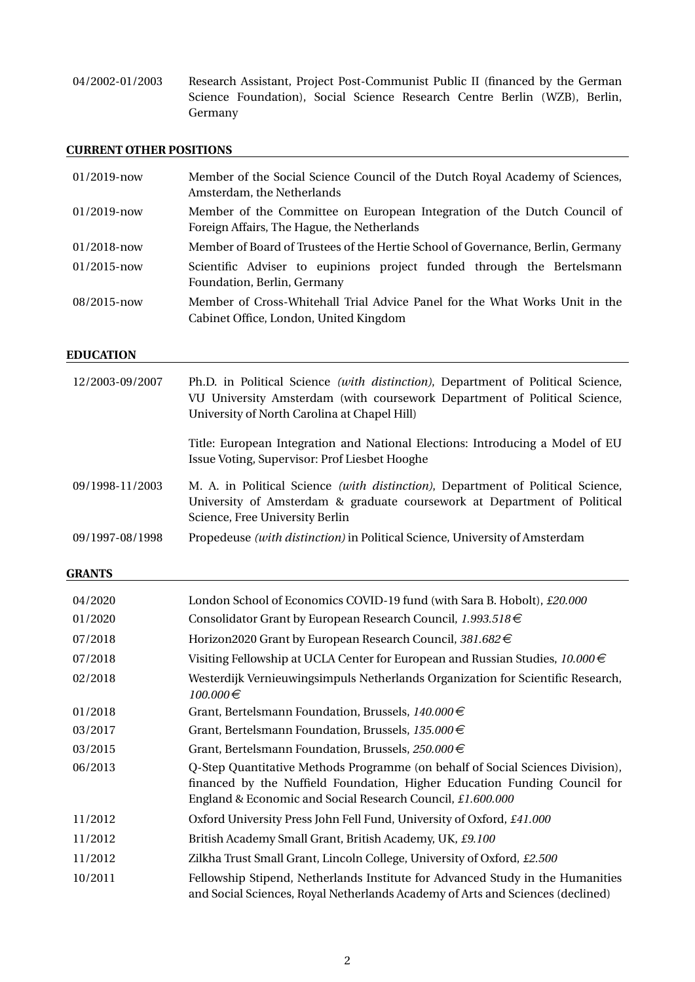04/2002-01/2003 Research Assistant, Project Post-Communist Public II (financed by the German Science Foundation), Social Science Research Centre Berlin (WZB), Berlin, Germany

<u> 1989 - Johann Barn, mars ann an t-Amhain Aonaich an t-Aonaich an t-Aonaich an t-Aonaich an t-Aonaich an t-Aon</u>

# **CURRENT OTHER POSITIONS**

| $01/2019$ -now | Member of the Social Science Council of the Dutch Royal Academy of Sciences,<br>Amsterdam, the Netherlands             |  |  |  |  |  |  |  |  |
|----------------|------------------------------------------------------------------------------------------------------------------------|--|--|--|--|--|--|--|--|
| $01/2019$ -now | Member of the Committee on European Integration of the Dutch Council of<br>Foreign Affairs, The Hague, the Netherlands |  |  |  |  |  |  |  |  |
| $01/2018$ -now | Member of Board of Trustees of the Hertie School of Governance, Berlin, Germany                                        |  |  |  |  |  |  |  |  |
| $01/2015$ -now | Scientific Adviser to eupinions project funded through the Bertelsmann<br>Foundation, Berlin, Germany                  |  |  |  |  |  |  |  |  |
| $08/2015$ -now | Member of Cross-Whitehall Trial Advice Panel for the What Works Unit in the<br>Cabinet Office, London, United Kingdom  |  |  |  |  |  |  |  |  |

### **EDUCATION**

| 12/2003-09/2007 | Ph.D. in Political Science <i>(with distinction)</i> , Department of Political Science,<br>VU University Amsterdam (with coursework Department of Political Science,<br>University of North Carolina at Chapel Hill) |
|-----------------|----------------------------------------------------------------------------------------------------------------------------------------------------------------------------------------------------------------------|
|                 | Title: European Integration and National Elections: Introducing a Model of EU<br>Issue Voting, Supervisor: Prof Liesbet Hooghe                                                                                       |
| 09/1998-11/2003 | M. A. in Political Science (with distinction), Department of Political Science,<br>University of Amsterdam & graduate coursework at Department of Political<br>Science, Free University Berlin                       |
| 09/1997-08/1998 | Propedeuse <i>(with distinction)</i> in Political Science, University of Amsterdam                                                                                                                                   |

### **GRANTS**

| 04/2020 | London School of Economics COVID-19 fund (with Sara B. Hobolt), £20.000                                                                                                                                                   |
|---------|---------------------------------------------------------------------------------------------------------------------------------------------------------------------------------------------------------------------------|
| 01/2020 | Consolidator Grant by European Research Council, $1.993.518 \in$                                                                                                                                                          |
| 07/2018 | Horizon2020 Grant by European Research Council, 381.682 $\in$                                                                                                                                                             |
| 07/2018 | Visiting Fellowship at UCLA Center for European and Russian Studies, $10.000 \in$                                                                                                                                         |
| 02/2018 | Westerdijk Vernieuwingsimpuls Netherlands Organization for Scientific Research,<br>$100.000 \in$                                                                                                                          |
| 01/2018 | Grant, Bertelsmann Foundation, Brussels, $140.000 \in$                                                                                                                                                                    |
| 03/2017 | Grant, Bertelsmann Foundation, Brussels, $135.000 \in$                                                                                                                                                                    |
| 03/2015 | Grant, Bertelsmann Foundation, Brussels, 250.000€                                                                                                                                                                         |
| 06/2013 | Q-Step Quantitative Methods Programme (on behalf of Social Sciences Division),<br>financed by the Nuffield Foundation, Higher Education Funding Council for<br>England & Economic and Social Research Council, £1.600.000 |
| 11/2012 | Oxford University Press John Fell Fund, University of Oxford, £41.000                                                                                                                                                     |
| 11/2012 | British Academy Small Grant, British Academy, UK, £9.100                                                                                                                                                                  |
| 11/2012 | Zilkha Trust Small Grant, Lincoln College, University of Oxford, £2.500                                                                                                                                                   |
| 10/2011 | Fellowship Stipend, Netherlands Institute for Advanced Study in the Humanities<br>and Social Sciences, Royal Netherlands Academy of Arts and Sciences (declined)                                                          |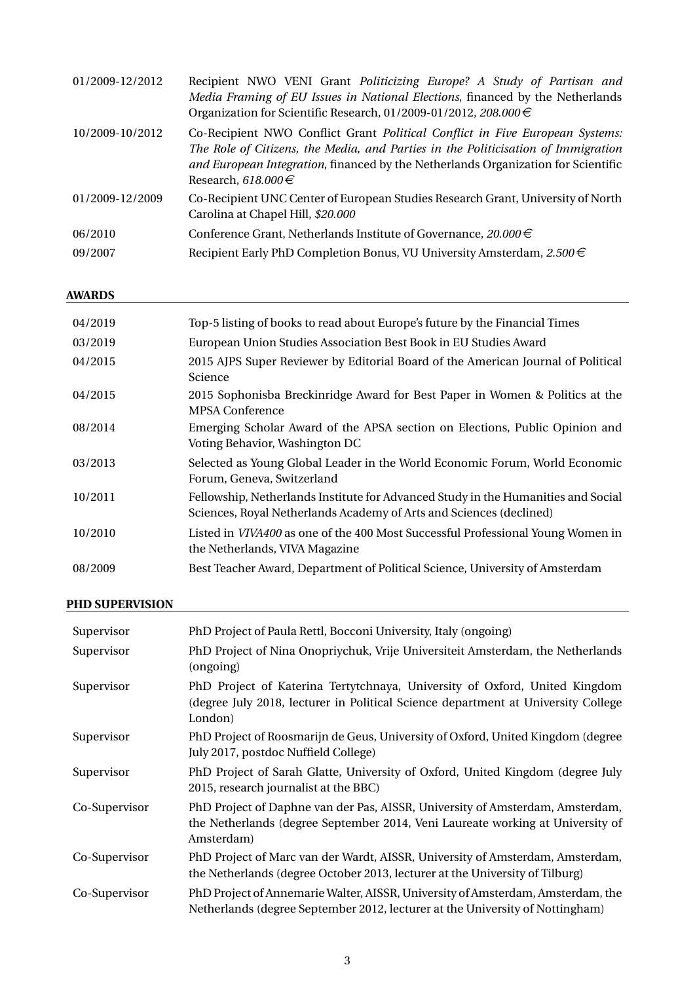| 01/2009-12/2012 | Recipient NWO VENI Grant Politicizing Europe? A Study of Partisan and<br>Media Framing of EU Issues in National Elections, financed by the Netherlands<br>Organization for Scientific Research, 01/2009-01/2012, 208.000 $\in$                                                           |
|-----------------|------------------------------------------------------------------------------------------------------------------------------------------------------------------------------------------------------------------------------------------------------------------------------------------|
| 10/2009-10/2012 | Co-Recipient NWO Conflict Grant <i>Political Conflict in Five European Systems:</i><br>The Role of Citizens, the Media, and Parties in the Politicisation of Immigration<br>and European Integration, financed by the Netherlands Organization for Scientific<br>Research, 618.000 $\in$ |
| 01/2009-12/2009 | Co-Recipient UNC Center of European Studies Research Grant, University of North<br>Carolina at Chapel Hill, \$20.000                                                                                                                                                                     |
| 06/2010         | Conference Grant, Netherlands Institute of Governance, $20.000 \in$                                                                                                                                                                                                                      |
| 09/2007         | Recipient Early PhD Completion Bonus, VU University Amsterdam, $2.500 \in$                                                                                                                                                                                                               |

# **AWARDS**

| 04/2019 | Top-5 listing of books to read about Europe's future by the Financial Times                                                                              |
|---------|----------------------------------------------------------------------------------------------------------------------------------------------------------|
| 03/2019 | European Union Studies Association Best Book in EU Studies Award                                                                                         |
| 04/2015 | 2015 AJPS Super Reviewer by Editorial Board of the American Journal of Political<br>Science                                                              |
| 04/2015 | 2015 Sophonisba Breckinridge Award for Best Paper in Women & Politics at the<br><b>MPSA Conference</b>                                                   |
| 08/2014 | Emerging Scholar Award of the APSA section on Elections, Public Opinion and<br>Voting Behavior, Washington DC                                            |
| 03/2013 | Selected as Young Global Leader in the World Economic Forum, World Economic<br>Forum, Geneva, Switzerland                                                |
| 10/2011 | Fellowship, Netherlands Institute for Advanced Study in the Humanities and Social<br>Sciences, Royal Netherlands Academy of Arts and Sciences (declined) |
| 10/2010 | Listed in VIVA400 as one of the 400 Most Successful Professional Young Women in<br>the Netherlands, VIVA Magazine                                        |
| 08/2009 | Best Teacher Award, Department of Political Science, University of Amsterdam                                                                             |
|         |                                                                                                                                                          |

# **PHD SUPERVISION**

| Supervisor    | PhD Project of Paula Rettl, Bocconi University, Italy (ongoing)                                                                                                               |
|---------------|-------------------------------------------------------------------------------------------------------------------------------------------------------------------------------|
| Supervisor    | PhD Project of Nina Onopriychuk, Vrije Universiteit Amsterdam, the Netherlands<br>(ongoing)                                                                                   |
| Supervisor    | PhD Project of Katerina Tertytchnaya, University of Oxford, United Kingdom<br>(degree July 2018, lecturer in Political Science department at University College<br>London)    |
| Supervisor    | PhD Project of Roosmarijn de Geus, University of Oxford, United Kingdom (degree)<br>July 2017, postdoc Nuffield College)                                                      |
| Supervisor    | PhD Project of Sarah Glatte, University of Oxford, United Kingdom (degree July<br>2015, research journalist at the BBC)                                                       |
| Co-Supervisor | PhD Project of Daphne van der Pas, AISSR, University of Amsterdam, Amsterdam,<br>the Netherlands (degree September 2014, Veni Laureate working at University of<br>Amsterdam) |
| Co-Supervisor | PhD Project of Marc van der Wardt, AISSR, University of Amsterdam, Amsterdam,<br>the Netherlands (degree October 2013, lecturer at the University of Tilburg)                 |
| Co-Supervisor | PhD Project of Annemarie Walter, AISSR, University of Amsterdam, Amsterdam, the<br>Netherlands (degree September 2012, lecturer at the University of Nottingham)              |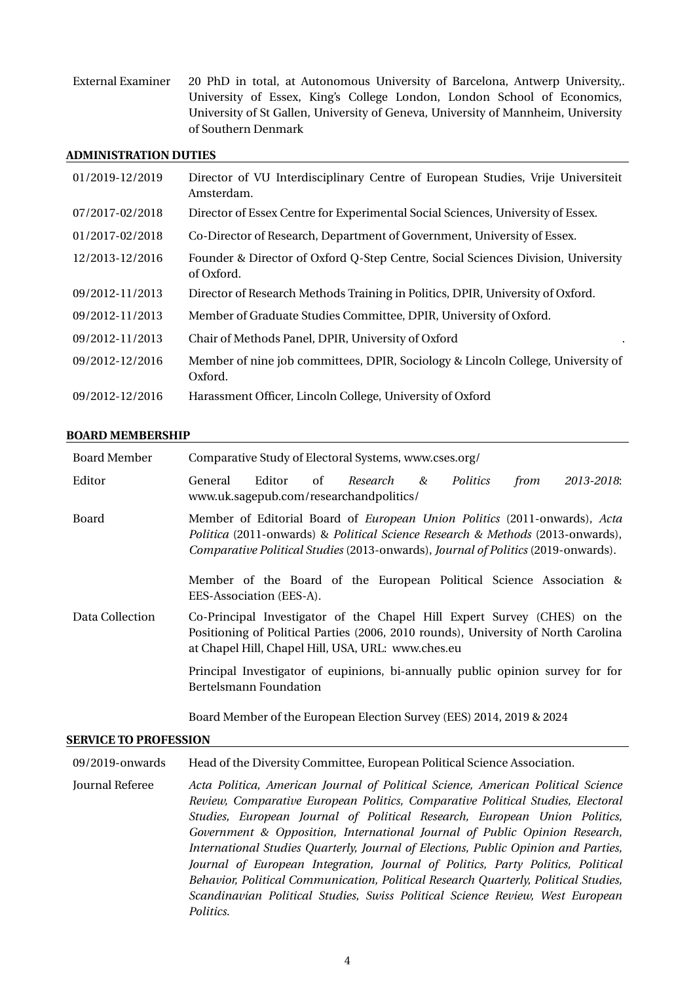External Examiner 20 PhD in total, at Autonomous University of Barcelona, Antwerp University, . University of Essex, King's College London, London School of Economics, University of St Gallen, University of Geneva, University of Mannheim, University of Southern Denmark

#### **ADMINISTRATION DUTIES**

| 01/2019-12/2019 | Director of VU Interdisciplinary Centre of European Studies, Vrije Universiteit<br>Amsterdam.  |
|-----------------|------------------------------------------------------------------------------------------------|
| 07/2017-02/2018 | Director of Essex Centre for Experimental Social Sciences, University of Essex.                |
| 01/2017-02/2018 | Co-Director of Research, Department of Government, University of Essex.                        |
| 12/2013-12/2016 | Founder & Director of Oxford Q-Step Centre, Social Sciences Division, University<br>of Oxford. |
| 09/2012-11/2013 | Director of Research Methods Training in Politics, DPIR, University of Oxford.                 |
| 09/2012-11/2013 | Member of Graduate Studies Committee, DPIR, University of Oxford.                              |
| 09/2012-11/2013 | Chair of Methods Panel, DPIR, University of Oxford                                             |
| 09/2012-12/2016 | Member of nine job committees, DPIR, Sociology & Lincoln College, University of<br>Oxford.     |
| 09/2012-12/2016 | Harassment Officer, Lincoln College, University of Oxford                                      |

#### **BOARD MEMBERSHIP**

| <b>Board Member</b> | Comparative Study of Electoral Systems, www.cses.org/                                                                                                                                                                                                                                                                                                      |        |    |                                                                                                                                                                                                                      |  |          |      |            |
|---------------------|------------------------------------------------------------------------------------------------------------------------------------------------------------------------------------------------------------------------------------------------------------------------------------------------------------------------------------------------------------|--------|----|----------------------------------------------------------------------------------------------------------------------------------------------------------------------------------------------------------------------|--|----------|------|------------|
| Editor              | General                                                                                                                                                                                                                                                                                                                                                    | Editor | of | Research &<br>www.uk.sagepub.com/researchandpolitics/                                                                                                                                                                |  | Politics | from | 2013-2018: |
| Board               | Member of Editorial Board of <i>European Union Politics</i> (2011-onwards), Acta<br>Politica (2011-onwards) & Political Science Research & Methods (2013-onwards),<br>Comparative Political Studies (2013-onwards), Journal of Politics (2019-onwards).<br>Member of the Board of the European Political Science Association &<br>EES-Association (EES-A). |        |    |                                                                                                                                                                                                                      |  |          |      |            |
| Data Collection     |                                                                                                                                                                                                                                                                                                                                                            |        |    | Co-Principal Investigator of the Chapel Hill Expert Survey (CHES) on the<br>Positioning of Political Parties (2006, 2010 rounds), University of North Carolina<br>at Chapel Hill, Chapel Hill, USA, URL: www.ches.eu |  |          |      |            |
|                     | Principal Investigator of eupinions, bi-annually public opinion survey for for<br>Bertelsmann Foundation                                                                                                                                                                                                                                                   |        |    |                                                                                                                                                                                                                      |  |          |      |            |

Board Member of the European Election Survey (EES) 2014, 2019 & 2024

#### **SERVICE TO PROFESSION**

09/2019-onwards Head of the Diversity Committee, European Political Science Association.

Journal Referee *Acta Politica, American Journal of Political Science, American Political Science Review, Comparative European Politics, Comparative Political Studies, Electoral Studies, European Journal of Political Research, European Union Politics, Government & Opposition, International Journal of Public Opinion Research, International Studies Quarterly, Journal of Elections, Public Opinion and Parties, Journal of European Integration, Journal of Politics, Party Politics, Political Behavior, Political Communication, Political Research Quarterly, Political Studies, Scandinavian Political Studies, Swiss Political Science Review, West European Politics.*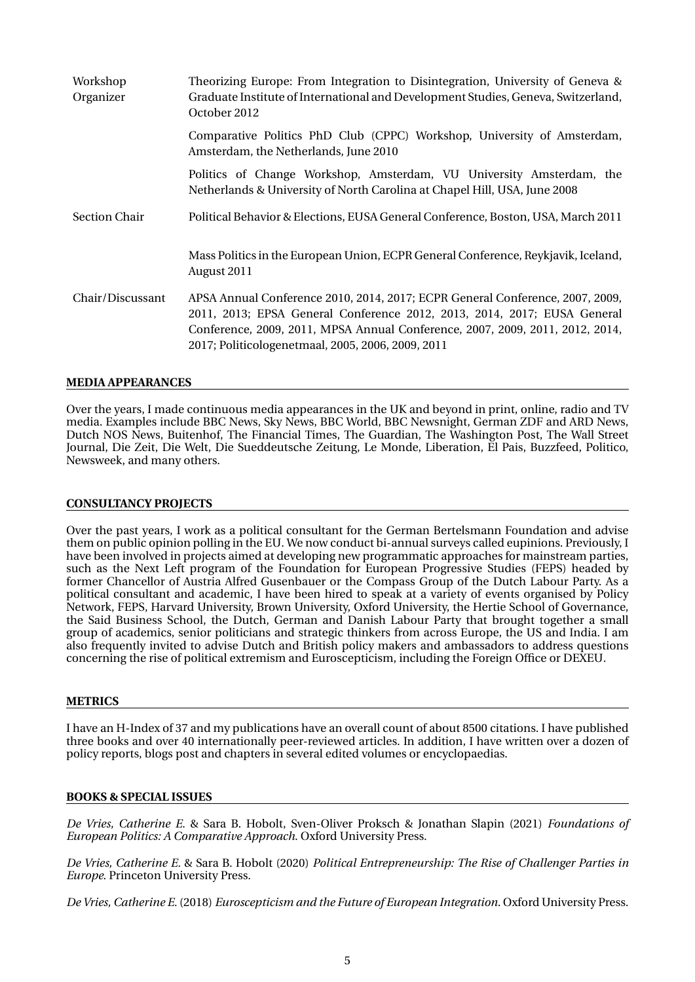| Workshop<br>Organizer | Theorizing Europe: From Integration to Disintegration, University of Geneva &<br>Graduate Institute of International and Development Studies, Geneva, Switzerland,<br>October 2012                                                                                                              |
|-----------------------|-------------------------------------------------------------------------------------------------------------------------------------------------------------------------------------------------------------------------------------------------------------------------------------------------|
|                       | Comparative Politics PhD Club (CPPC) Workshop, University of Amsterdam,<br>Amsterdam, the Netherlands, June 2010                                                                                                                                                                                |
|                       | Politics of Change Workshop, Amsterdam, VU University Amsterdam, the<br>Netherlands & University of North Carolina at Chapel Hill, USA, June 2008                                                                                                                                               |
| <b>Section Chair</b>  | Political Behavior & Elections, EUSA General Conference, Boston, USA, March 2011                                                                                                                                                                                                                |
|                       | Mass Politics in the European Union, ECPR General Conference, Reykjavik, Iceland,<br>August 2011                                                                                                                                                                                                |
| Chair/Discussant      | APSA Annual Conference 2010, 2014, 2017; ECPR General Conference, 2007, 2009,<br>2011, 2013; EPSA General Conference 2012, 2013, 2014, 2017; EUSA General<br>Conference, 2009, 2011, MPSA Annual Conference, 2007, 2009, 2011, 2012, 2014,<br>2017; Politicologenetmaal, 2005, 2006, 2009, 2011 |

#### **MEDIA APPEARANCES**

Over the years, I made continuous media appearances in the UK and beyond in print, online, radio and TV media. Examples include BBC News, Sky News, BBC World, BBC Newsnight, German ZDF and ARD News, Dutch NOS News, Buitenhof, The Financial Times, The Guardian, The Washington Post, The Wall Street Journal, Die Zeit, Die Welt, Die Sueddeutsche Zeitung, Le Monde, Liberation, El Pais, Buzzfeed, Politico, Newsweek, and many others.

#### **CONSULTANCY PROJECTS**

Over the past years, I work as a political consultant for the German Bertelsmann Foundation and advise them on public opinion polling in the EU. We now conduct bi-annual surveys called eupinions. Previously, I have been involved in projects aimed at developing new programmatic approaches for mainstream parties, such as the Next Left program of the Foundation for European Progressive Studies (FEPS) headed by former Chancellor of Austria Alfred Gusenbauer or the Compass Group of the Dutch Labour Party. As a political consultant and academic, I have been hired to speak at a variety of events organised by Policy Network, FEPS, Harvard University, Brown University, Oxford University, the Hertie School of Governance, the Said Business School, the Dutch, German and Danish Labour Party that brought together a small group of academics, senior politicians and strategic thinkers from across Europe, the US and India. I am also frequently invited to advise Dutch and British policy makers and ambassadors to address questions concerning the rise of political extremism and Euroscepticism, including the Foreign Office or DEXEU.

#### **METRICS**

I have an H-Index of 37 and my publications have an overall count of about 8500 citations. I have published three books and over 40 internationally peer-reviewed articles. In addition, I have written over a dozen of policy reports, blogs post and chapters in several edited volumes or encyclopaedias.

#### **BOOKS & SPECIAL ISSUES**

*De Vries, Catherine E.* & Sara B. Hobolt, Sven-Oliver Proksch & Jonathan Slapin (2021) *Foundations of European Politics: A Comparative Approach*. Oxford University Press.

*De Vries, Catherine E.* & Sara B. Hobolt (2020) *Political Entrepreneurship: The Rise of Challenger Parties in Europe*. Princeton University Press.

*De Vries, Catherine E.* (2018) *Euroscepticism and the Future of European Integration*. Oxford University Press.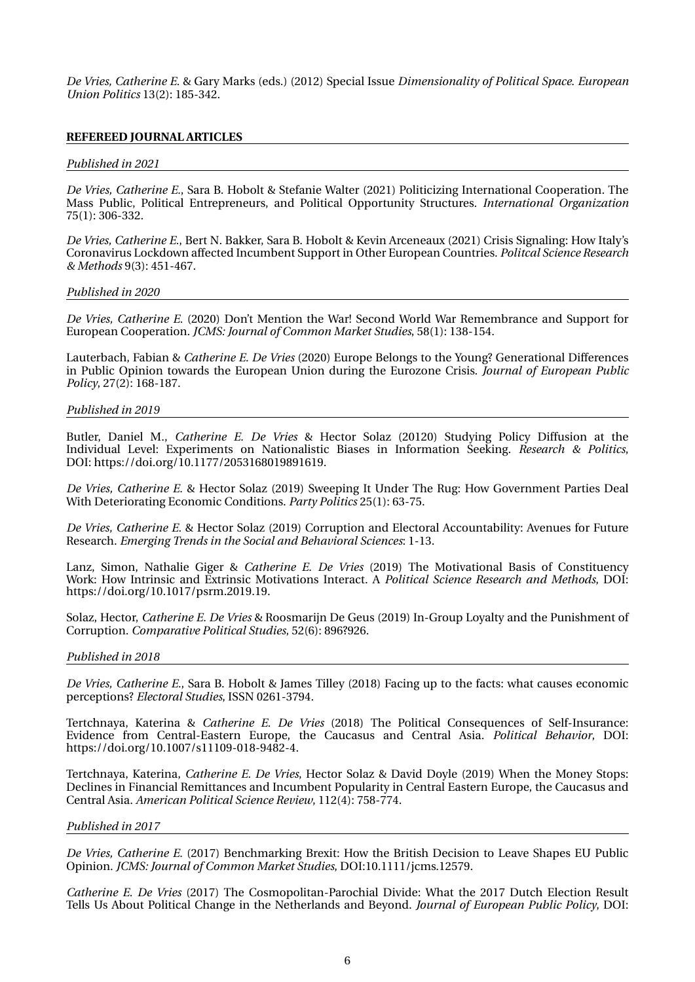*De Vries, Catherine E.* & Gary Marks (eds.) (2012) Special Issue *Dimensionality of Political Space*. *European Union Politics* 13(2): 185-342.

#### **REFEREED JOURNAL ARTICLES**

#### *Published in 2021*

*De Vries, Catherine E.*, Sara B. Hobolt & Stefanie Walter (2021) Politicizing International Cooperation. The Mass Public, Political Entrepreneurs, and Political Opportunity Structures. *International Organization* 75(1): 306-332.

*De Vries, Catherine E.*, Bert N. Bakker, Sara B. Hobolt & Kevin Arceneaux (2021) Crisis Signaling: How Italy's Coronavirus Lockdown affected Incumbent Support in Other European Countries. *Politcal Science Research & Methods* 9(3): 451-467.

#### *Published in 2020*

*De Vries, Catherine E.* (2020) Don't Mention the War! Second World War Remembrance and Support for European Cooperation. *JCMS: Journal of Common Market Studies*, 58(1): 138-154.

Lauterbach, Fabian & *Catherine E. De Vries* (2020) Europe Belongs to the Young? Generational Differences in Public Opinion towards the European Union during the Eurozone Crisis. *Journal of European Public Policy*, 27(2): 168-187.

#### *Published in 2019*

Butler, Daniel M., *Catherine E. De Vries* & Hector Solaz (20120) Studying Policy Diffusion at the Individual Level: Experiments on Nationalistic Biases in Information Seeking. *Research & Politics*, DOI: https://doi.org/10.1177/2053168019891619.

*De Vries, Catherine E.* & Hector Solaz (2019) Sweeping It Under The Rug: How Government Parties Deal With Deteriorating Economic Conditions. *Party Politics* 25(1): 63-75.

*De Vries, Catherine E.* & Hector Solaz (2019) Corruption and Electoral Accountability: Avenues for Future Research. *Emerging Trends in the Social and Behavioral Sciences*: 1-13.

Lanz, Simon, Nathalie Giger & *Catherine E. De Vries* (2019) The Motivational Basis of Constituency Work: How Intrinsic and Extrinsic Motivations Interact. A *Political Science Research and Methods*, DOI: https://doi.org/10.1017/psrm.2019.19.

Solaz, Hector, *Catherine E. De Vries* & Roosmarijn De Geus (2019) In-Group Loyalty and the Punishment of Corruption. *Comparative Political Studies*, 52(6): 896?926.

#### *Published in 2018*

*De Vries, Catherine E.*, Sara B. Hobolt & James Tilley (2018) Facing up to the facts: what causes economic perceptions? *Electoral Studies*, ISSN 0261-3794.

Tertchnaya, Katerina & *Catherine E. De Vries* (2018) The Political Consequences of Self-Insurance: Evidence from Central-Eastern Europe, the Caucasus and Central Asia. *Political Behavior*, DOI: https://doi.org/10.1007/s11109-018-9482-4.

Tertchnaya, Katerina, *Catherine E. De Vries*, Hector Solaz & David Doyle (2019) When the Money Stops: Declines in Financial Remittances and Incumbent Popularity in Central Eastern Europe, the Caucasus and Central Asia. *American Political Science Review*, 112(4): 758-774.

#### *Published in 2017*

*De Vries, Catherine E.* (2017) Benchmarking Brexit: How the British Decision to Leave Shapes EU Public Opinion. *JCMS: Journal of Common Market Studies*, DOI:10.1111/jcms.12579.

*Catherine E. De Vries* (2017) The Cosmopolitan-Parochial Divide: What the 2017 Dutch Election Result Tells Us About Political Change in the Netherlands and Beyond. *Journal of European Public Policy*, DOI: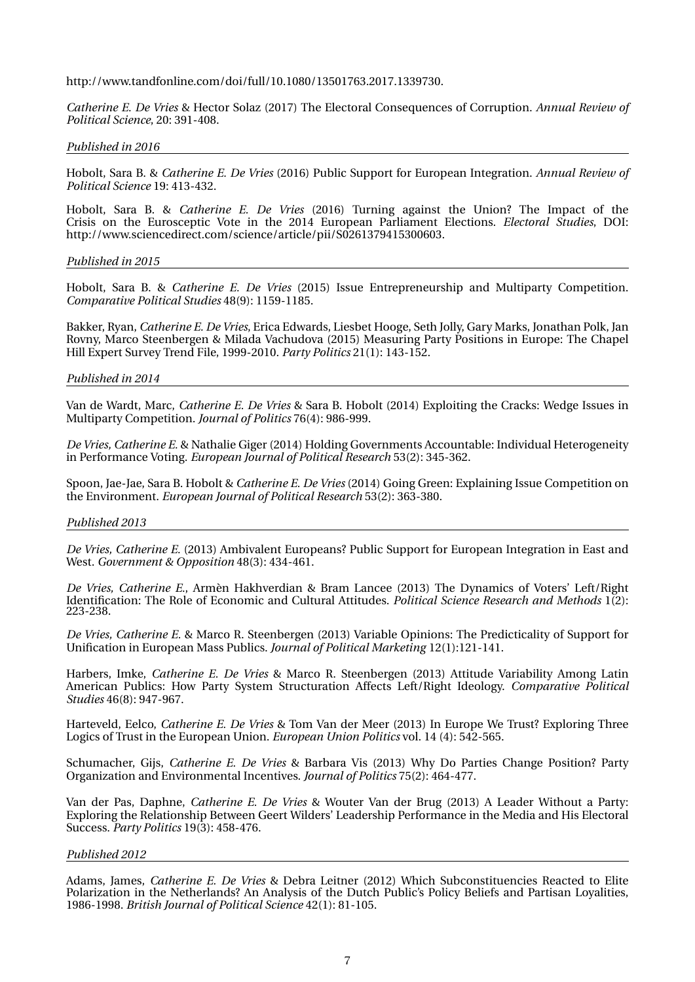http://www.tandfonline.com/doi/full/10.1080/13501763.2017.1339730.

*Catherine E. De Vries* & Hector Solaz (2017) The Electoral Consequences of Corruption. *Annual Review of Political Science*, 20: 391-408.

#### *Published in 2016*

Hobolt, Sara B. & *Catherine E. De Vries* (2016) Public Support for European Integration. *Annual Review of Political Science* 19: 413-432.

Hobolt, Sara B. & *Catherine E. De Vries* (2016) Turning against the Union? The Impact of the Crisis on the Eurosceptic Vote in the 2014 European Parliament Elections. *Electoral Studies*, DOI: http://www.sciencedirect.com/science/article/pii/S0261379415300603.

#### *Published in 2015*

Hobolt, Sara B. & *Catherine E. De Vries* (2015) Issue Entrepreneurship and Multiparty Competition. *Comparative Political Studies* 48(9): 1159-1185.

Bakker, Ryan, *Catherine E. De Vries*, Erica Edwards, Liesbet Hooge, Seth Jolly, Gary Marks, Jonathan Polk, Jan Rovny, Marco Steenbergen & Milada Vachudova (2015) Measuring Party Positions in Europe: The Chapel Hill Expert Survey Trend File, 1999-2010. *Party Politics* 21(1): 143-152.

#### *Published in 2014*

Van de Wardt, Marc, *Catherine E. De Vries* & Sara B. Hobolt (2014) Exploiting the Cracks: Wedge Issues in Multiparty Competition. *Journal of Politics* 76(4): 986-999.

*De Vries, Catherine E.* & Nathalie Giger (2014) Holding Governments Accountable: Individual Heterogeneity in Performance Voting. *European Journal of Political Research* 53(2): 345-362.

Spoon, Jae-Jae, Sara B. Hobolt & *Catherine E. De Vries* (2014) Going Green: Explaining Issue Competition on the Environment. *European Journal of Political Research* 53(2): 363-380.

#### *Published 2013*

*De Vries, Catherine E.* (2013) Ambivalent Europeans? Public Support for European Integration in East and West. *Government & Opposition* 48(3): 434-461.

*De Vries, Catherine E.*, Armèn Hakhverdian & Bram Lancee (2013) The Dynamics of Voters' Left/Right Identification: The Role of Economic and Cultural Attitudes. *Political Science Research and Methods* 1(2): 223-238.

*De Vries, Catherine E.* & Marco R. Steenbergen (2013) Variable Opinions: The Predicticality of Support for Unification in European Mass Publics. *Journal of Political Marketing* 12(1):121-141.

Harbers, Imke, *Catherine E. De Vries* & Marco R. Steenbergen (2013) Attitude Variability Among Latin American Publics: How Party System Structuration Affects Left/Right Ideology. *Comparative Political Studies* 46(8): 947-967.

Harteveld, Eelco, *Catherine E. De Vries* & Tom Van der Meer (2013) In Europe We Trust? Exploring Three Logics of Trust in the European Union. *European Union Politics* vol. 14 (4): 542-565.

Schumacher, Gijs, *Catherine E. De Vries* & Barbara Vis (2013) Why Do Parties Change Position? Party Organization and Environmental Incentives. *Journal of Politics* 75(2): 464-477.

Van der Pas, Daphne, *Catherine E. De Vries* & Wouter Van der Brug (2013) A Leader Without a Party: Exploring the Relationship Between Geert Wilders' Leadership Performance in the Media and His Electoral Success. *Party Politics* 19(3): 458-476.

#### *Published 2012*

Adams, James, *Catherine E. De Vries* & Debra Leitner (2012) Which Subconstituencies Reacted to Elite Polarization in the Netherlands? An Analysis of the Dutch Public's Policy Beliefs and Partisan Loyalities, 1986-1998. *British Journal of Political Science* 42(1): 81-105.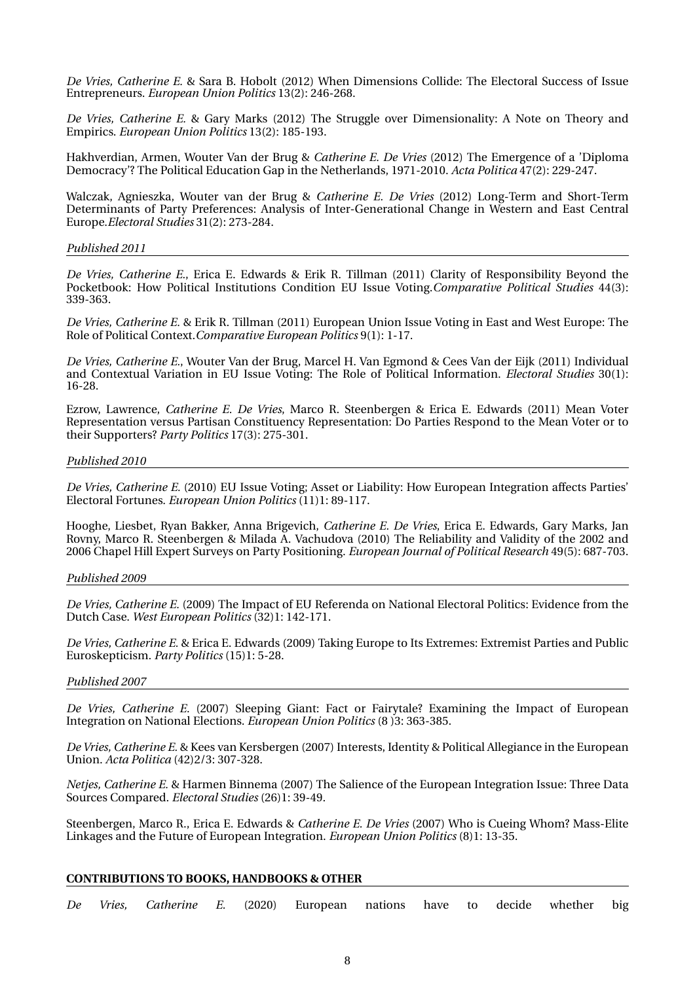*De Vries, Catherine E.* & Sara B. Hobolt (2012) When Dimensions Collide: The Electoral Success of Issue Entrepreneurs. *European Union Politics* 13(2): 246-268.

*De Vries, Catherine E.* & Gary Marks (2012) The Struggle over Dimensionality: A Note on Theory and Empirics. *European Union Politics* 13(2): 185-193.

Hakhverdian, Armen, Wouter Van der Brug & *Catherine E. De Vries* (2012) The Emergence of a 'Diploma Democracy'? The Political Education Gap in the Netherlands, 1971-2010. *Acta Politica* 47(2): 229-247.

Walczak, Agnieszka, Wouter van der Brug & *Catherine E. De Vries* (2012) Long-Term and Short-Term Determinants of Party Preferences: Analysis of Inter-Generational Change in Western and East Central Europe.*Electoral Studies* 31(2): 273-284.

#### *Published 2011*

*De Vries, Catherine E.*, Erica E. Edwards & Erik R. Tillman (2011) Clarity of Responsibility Beyond the Pocketbook: How Political Institutions Condition EU Issue Voting.*Comparative Political Studies* 44(3): 339-363.

*De Vries, Catherine E.* & Erik R. Tillman (2011) European Union Issue Voting in East and West Europe: The Role of Political Context.*Comparative European Politics* 9(1): 1-17.

*De Vries, Catherine E.*, Wouter Van der Brug, Marcel H. Van Egmond & Cees Van der Eijk (2011) Individual and Contextual Variation in EU Issue Voting: The Role of Political Information. *Electoral Studies* 30(1): 16-28.

Ezrow, Lawrence, *Catherine E. De Vries*, Marco R. Steenbergen & Erica E. Edwards (2011) Mean Voter Representation versus Partisan Constituency Representation: Do Parties Respond to the Mean Voter or to their Supporters? *Party Politics* 17(3): 275-301.

#### *Published 2010*

*De Vries, Catherine E.* (2010) EU Issue Voting; Asset or Liability: How European Integration affects Parties' Electoral Fortunes. *European Union Politics* (11)1: 89-117.

Hooghe, Liesbet, Ryan Bakker, Anna Brigevich, *Catherine E. De Vries*, Erica E. Edwards, Gary Marks, Jan Rovny, Marco R. Steenbergen & Milada A. Vachudova (2010) The Reliability and Validity of the 2002 and 2006 Chapel Hill Expert Surveys on Party Positioning. *European Journal of Political Research* 49(5): 687-703.

#### *Published 2009*

*De Vries, Catherine E.* (2009) The Impact of EU Referenda on National Electoral Politics: Evidence from the Dutch Case. *West European Politics* (32)1: 142-171.

*De Vries, Catherine E.* & Erica E. Edwards (2009) Taking Europe to Its Extremes: Extremist Parties and Public Euroskepticism. *Party Politics* (15)1: 5-28.

#### *Published 2007*

*De Vries, Catherine E.* (2007) Sleeping Giant: Fact or Fairytale? Examining the Impact of European Integration on National Elections. *European Union Politics* (8 )3: 363-385.

*De Vries, Catherine E.* & Kees van Kersbergen (2007) Interests, Identity & Political Allegiance in the European Union. *Acta Politica* (42)2/3: 307-328.

*Netjes, Catherine E.* & Harmen Binnema (2007) The Salience of the European Integration Issue: Three Data Sources Compared. *Electoral Studies* (26)1: 39-49.

Steenbergen, Marco R., Erica E. Edwards & *Catherine E. De Vries* (2007) Who is Cueing Whom? Mass-Elite Linkages and the Future of European Integration. *European Union Politics* (8)1: 13-35.

#### **CONTRIBUTIONS TO BOOKS, HANDBOOKS & OTHER**

*De Vries, Catherine E.* (2020) European nations have to decide whether big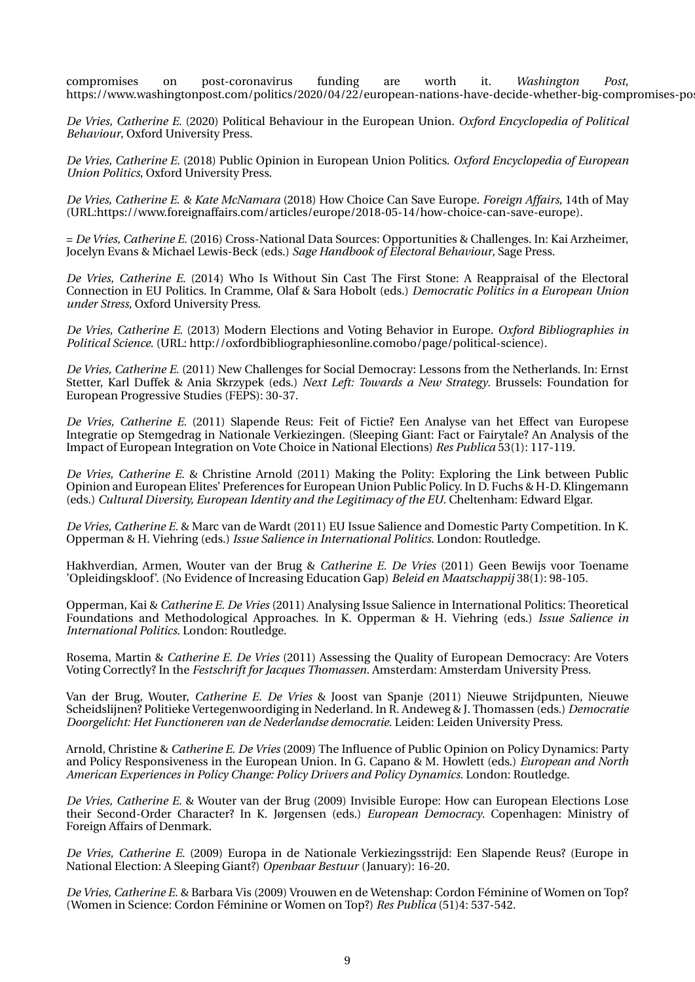compromises on post-coronavirus funding are worth it. *Washington Post*, https://www.washingtonpost.com/politics/2020/04/22/european-nations-have-decide-whether-big-compromises-po

*De Vries, Catherine E.* (2020) Political Behaviour in the European Union. *Oxford Encyclopedia of Political Behaviour*, Oxford University Press.

*De Vries, Catherine E.* (2018) Public Opinion in European Union Politics. *Oxford Encyclopedia of European Union Politics*, Oxford University Press.

*De Vries, Catherine E. & Kate McNamara* (2018) How Choice Can Save Europe. *Foreign Affairs*, 14th of May (URL:https://www.foreignaffairs.com/articles/europe/2018-05-14/how-choice-can-save-europe).

= *De Vries, Catherine E.* (2016) Cross-National Data Sources: Opportunities & Challenges. In: Kai Arzheimer, Jocelyn Evans & Michael Lewis-Beck (eds.) *Sage Handbook of Electoral Behaviour*, Sage Press.

*De Vries, Catherine E.* (2014) Who Is Without Sin Cast The First Stone: A Reappraisal of the Electoral Connection in EU Politics. In Cramme, Olaf & Sara Hobolt (eds.) *Democratic Politics in a European Union under Stress*, Oxford University Press.

*De Vries, Catherine E.* (2013) Modern Elections and Voting Behavior in Europe. *Oxford Bibliographies in Political Science*. (URL: http://oxfordbibliographiesonline.comobo/page/political-science).

*De Vries, Catherine E.* (2011) New Challenges for Social Democray: Lessons from the Netherlands. In: Ernst Stetter, Karl Duffek & Ania Skrzypek (eds.) *Next Left: Towards a New Strategy*. Brussels: Foundation for European Progressive Studies (FEPS): 30-37.

*De Vries, Catherine E.* (2011) Slapende Reus: Feit of Fictie? Een Analyse van het Effect van Europese Integratie op Stemgedrag in Nationale Verkiezingen. (Sleeping Giant: Fact or Fairytale? An Analysis of the Impact of European Integration on Vote Choice in National Elections) *Res Publica* 53(1): 117-119.

*De Vries, Catherine E.* & Christine Arnold (2011) Making the Polity: Exploring the Link between Public Opinion and European Elites' Preferences for European Union Public Policy. In D. Fuchs & H-D. Klingemann (eds.) *Cultural Diversity, European Identity and the Legitimacy of the EU*. Cheltenham: Edward Elgar.

*De Vries, Catherine E.* & Marc van de Wardt (2011) EU Issue Salience and Domestic Party Competition. In K. Opperman & H. Viehring (eds.) *Issue Salience in International Politics*. London: Routledge.

Hakhverdian, Armen, Wouter van der Brug & *Catherine E. De Vries* (2011) Geen Bewijs voor Toename 'Opleidingskloof'. (No Evidence of Increasing Education Gap) *Beleid en Maatschappij* 38(1): 98-105.

Opperman, Kai & *Catherine E. De Vries* (2011) Analysing Issue Salience in International Politics: Theoretical Foundations and Methodological Approaches. In K. Opperman & H. Viehring (eds.) *Issue Salience in International Politics*. London: Routledge.

Rosema, Martin & *Catherine E. De Vries* (2011) Assessing the Quality of European Democracy: Are Voters Voting Correctly? In the *Festschrift for Jacques Thomassen*. Amsterdam: Amsterdam University Press.

Van der Brug, Wouter, *Catherine E. De Vries* & Joost van Spanje (2011) Nieuwe Strijdpunten, Nieuwe Scheidslijnen? Politieke Vertegenwoordiging in Nederland. In R. Andeweg & J. Thomassen (eds.) *Democratie Doorgelicht: Het Functioneren van de Nederlandse democratie*. Leiden: Leiden University Press.

Arnold, Christine & *Catherine E. De Vries* (2009) The Influence of Public Opinion on Policy Dynamics: Party and Policy Responsiveness in the European Union. In G. Capano & M. Howlett (eds.) *European and North American Experiences in Policy Change: Policy Drivers and Policy Dynamics*. London: Routledge.

*De Vries, Catherine E.* & Wouter van der Brug (2009) Invisible Europe: How can European Elections Lose their Second-Order Character? In K. Jørgensen (eds.) *European Democracy*. Copenhagen: Ministry of Foreign Affairs of Denmark.

*De Vries, Catherine E.* (2009) Europa in de Nationale Verkiezingsstrijd: Een Slapende Reus? (Europe in National Election: A Sleeping Giant?) *Openbaar Bestuur* (January): 16-20.

*De Vries, Catherine E.* & Barbara Vis (2009) Vrouwen en de Wetenshap: Cordon Féminine of Women on Top? (Women in Science: Cordon Féminine or Women on Top?) *Res Publica* (51)4: 537-542.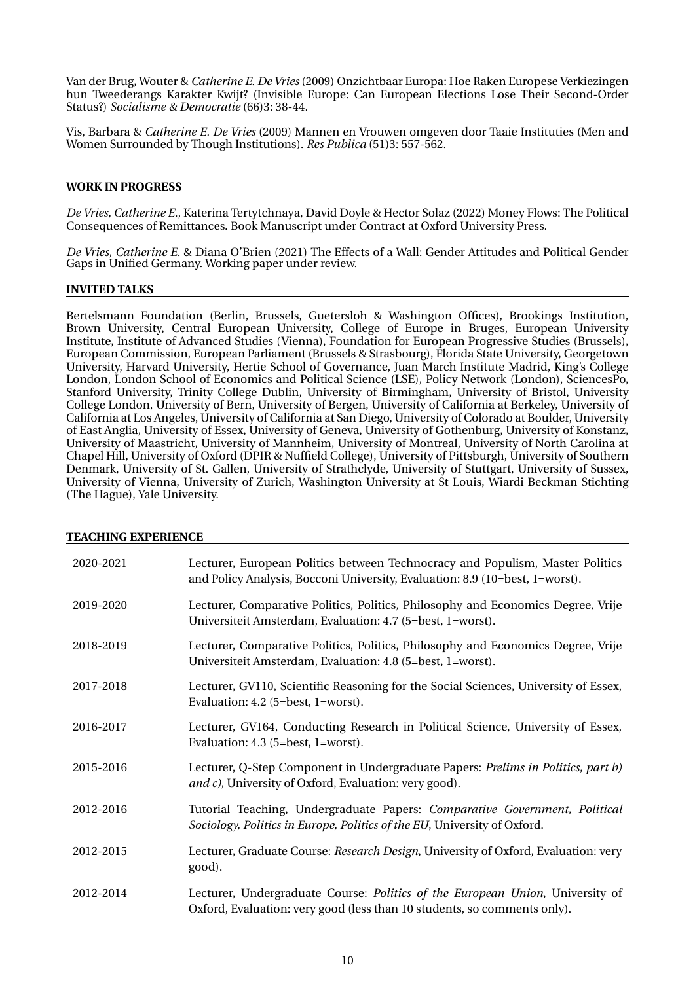Van der Brug, Wouter & *Catherine E. De Vries* (2009) Onzichtbaar Europa: Hoe Raken Europese Verkiezingen hun Tweederangs Karakter Kwijt? (Invisible Europe: Can European Elections Lose Their Second-Order Status?) *Socialisme & Democratie* (66)3: 38-44.

Vis, Barbara & *Catherine E. De Vries* (2009) Mannen en Vrouwen omgeven door Taaie Instituties (Men and Women Surrounded by Though Institutions). *Res Publica* (51)3: 557-562.

#### **WORK IN PROGRESS**

*De Vries, Catherine E.*, Katerina Tertytchnaya, David Doyle & Hector Solaz (2022) Money Flows: The Political Consequences of Remittances. Book Manuscript under Contract at Oxford University Press.

*De Vries, Catherine E.* & Diana O'Brien (2021) The Effects of a Wall: Gender Attitudes and Political Gender Gaps in Unified Germany. Working paper under review.

#### **INVITED TALKS**

Bertelsmann Foundation (Berlin, Brussels, Guetersloh & Washington Offices), Brookings Institution, Brown University, Central European University, College of Europe in Bruges, European University Institute, Institute of Advanced Studies (Vienna), Foundation for European Progressive Studies (Brussels), European Commission, European Parliament (Brussels & Strasbourg), Florida State University, Georgetown University, Harvard University, Hertie School of Governance, Juan March Institute Madrid, King's College London, London School of Economics and Political Science (LSE), Policy Network (London), SciencesPo, Stanford University, Trinity College Dublin, University of Birmingham, University of Bristol, University College London, University of Bern, University of Bergen, University of California at Berkeley, University of California at Los Angeles, University of California at San Diego, University of Colorado at Boulder, University of East Anglia, University of Essex, University of Geneva, University of Gothenburg, University of Konstanz, University of Maastricht, University of Mannheim, University of Montreal, University of North Carolina at Chapel Hill, University of Oxford (DPIR & Nuffield College), University of Pittsburgh, University of Southern Denmark, University of St. Gallen, University of Strathclyde, University of Stuttgart, University of Sussex, University of Vienna, University of Zurich, Washington University at St Louis, Wiardi Beckman Stichting (The Hague), Yale University.

#### **TEACHING EXPERIENCE**

| 2020-2021 | Lecturer, European Politics between Technocracy and Populism, Master Politics<br>and Policy Analysis, Bocconi University, Evaluation: 8.9 (10=best, 1=worst). |
|-----------|---------------------------------------------------------------------------------------------------------------------------------------------------------------|
| 2019-2020 | Lecturer, Comparative Politics, Politics, Philosophy and Economics Degree, Vrije<br>Universiteit Amsterdam, Evaluation: 4.7 (5=best, 1=worst).                |
| 2018-2019 | Lecturer, Comparative Politics, Politics, Philosophy and Economics Degree, Vrije<br>Universiteit Amsterdam, Evaluation: 4.8 (5=best, 1=worst).                |
| 2017-2018 | Lecturer, GV110, Scientific Reasoning for the Social Sciences, University of Essex,<br>Evaluation: 4.2 (5=best, 1=worst).                                     |
| 2016-2017 | Lecturer, GV164, Conducting Research in Political Science, University of Essex,<br>Evaluation: 4.3 (5=best, 1=worst).                                         |
| 2015-2016 | Lecturer, Q-Step Component in Undergraduate Papers: Prelims in Politics, part b)<br>and c), University of Oxford, Evaluation: very good).                     |
| 2012-2016 | Tutorial Teaching, Undergraduate Papers: Comparative Government, Political<br>Sociology, Politics in Europe, Politics of the EU, University of Oxford.        |
| 2012-2015 | Lecturer, Graduate Course: Research Design, University of Oxford, Evaluation: very<br>good).                                                                  |
| 2012-2014 | Lecturer, Undergraduate Course: Politics of the European Union, University of<br>Oxford, Evaluation: very good (less than 10 students, so comments only).     |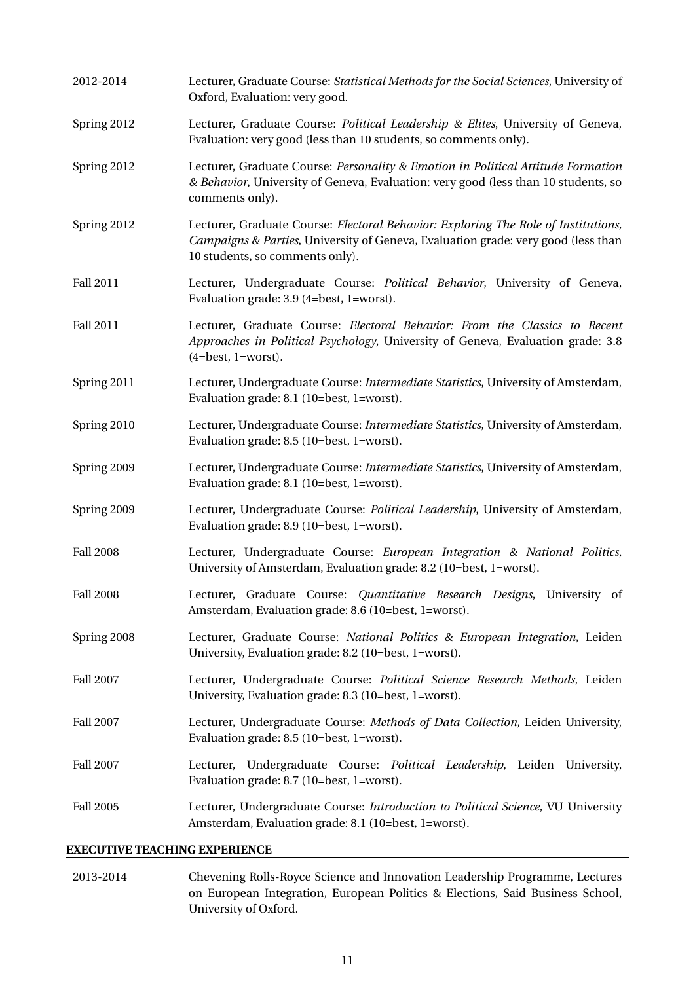| 2012-2014        | Lecturer, Graduate Course: Statistical Methods for the Social Sciences, University of<br>Oxford, Evaluation: very good.                                                                                    |
|------------------|------------------------------------------------------------------------------------------------------------------------------------------------------------------------------------------------------------|
| Spring 2012      | Lecturer, Graduate Course: Political Leadership & Elites, University of Geneva,<br>Evaluation: very good (less than 10 students, so comments only).                                                        |
| Spring 2012      | Lecturer, Graduate Course: Personality & Emotion in Political Attitude Formation<br>& Behavior, University of Geneva, Evaluation: very good (less than 10 students, so<br>comments only).                  |
| Spring 2012      | Lecturer, Graduate Course: Electoral Behavior: Exploring The Role of Institutions,<br>Campaigns & Parties, University of Geneva, Evaluation grade: very good (less than<br>10 students, so comments only). |
| <b>Fall 2011</b> | Lecturer, Undergraduate Course: Political Behavior, University of Geneva,<br>Evaluation grade: 3.9 (4=best, 1=worst).                                                                                      |
| <b>Fall 2011</b> | Lecturer, Graduate Course: Electoral Behavior: From the Classics to Recent<br>Approaches in Political Psychology, University of Geneva, Evaluation grade: 3.8<br>$(4=best, 1=worst).$                      |
| Spring 2011      | Lecturer, Undergraduate Course: Intermediate Statistics, University of Amsterdam,<br>Evaluation grade: 8.1 (10=best, 1=worst).                                                                             |
| Spring 2010      | Lecturer, Undergraduate Course: Intermediate Statistics, University of Amsterdam,<br>Evaluation grade: 8.5 (10=best, 1=worst).                                                                             |
| Spring 2009      | Lecturer, Undergraduate Course: Intermediate Statistics, University of Amsterdam,<br>Evaluation grade: 8.1 (10=best, 1=worst).                                                                             |
| Spring 2009      | Lecturer, Undergraduate Course: Political Leadership, University of Amsterdam,<br>Evaluation grade: 8.9 (10=best, 1=worst).                                                                                |
| <b>Fall 2008</b> | Lecturer, Undergraduate Course: European Integration & National Politics,<br>University of Amsterdam, Evaluation grade: 8.2 (10=best, 1=worst).                                                            |
| <b>Fall 2008</b> | Lecturer, Graduate Course: Quantitative Research Designs, University of<br>Amsterdam, Evaluation grade: 8.6 (10=best, 1=worst).                                                                            |
| Spring 2008      | Lecturer, Graduate Course: National Politics & European Integration, Leiden<br>University, Evaluation grade: 8.2 (10=best, 1=worst).                                                                       |
| <b>Fall 2007</b> | Lecturer, Undergraduate Course: Political Science Research Methods, Leiden<br>University, Evaluation grade: 8.3 (10=best, 1=worst).                                                                        |
| <b>Fall 2007</b> | Lecturer, Undergraduate Course: Methods of Data Collection, Leiden University,<br>Evaluation grade: 8.5 (10=best, 1=worst).                                                                                |
| <b>Fall 2007</b> | Lecturer, Undergraduate Course: <i>Political Leadership</i> , Leiden University,<br>Evaluation grade: 8.7 (10=best, 1=worst).                                                                              |
| <b>Fall 2005</b> | Lecturer, Undergraduate Course: Introduction to Political Science, VU University<br>Amsterdam, Evaluation grade: 8.1 (10=best, 1=worst).                                                                   |

# **EXECUTIVE TEACHING EXPERIENCE**

2013-2014 Chevening Rolls-Royce Science and Innovation Leadership Programme, Lectures on European Integration, European Politics & Elections, Said Business School, University of Oxford.